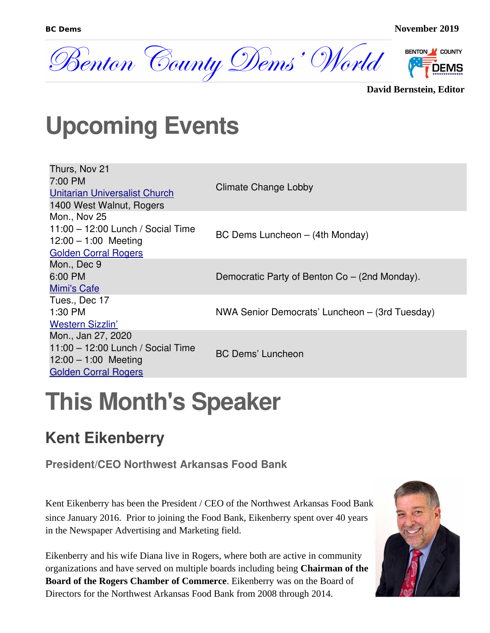

**David Bernstein, Editor**

### **Upcoming Events**

| Thurs, Nov 21<br>7:00 PM<br>Unitarian Universalist Church<br>1400 West Walnut, Rogers                              | Climate Change Lobby                           |
|--------------------------------------------------------------------------------------------------------------------|------------------------------------------------|
| Mon., Nov 25<br>11:00 - 12:00 Lunch / Social Time<br>$12:00 - 1:00$ Meeting<br><b>Golden Corral Rogers</b>         | BC Dems Luncheon - (4th Monday)                |
| Mon., Dec 9<br>6:00 PM<br>Mimi's Cafe                                                                              | Democratic Party of Benton Co – (2nd Monday).  |
| Tues., Dec 17<br>1:30 PM<br><b>Western Sizzlin'</b>                                                                | NWA Senior Democrats' Luncheon – (3rd Tuesday) |
| Mon., Jan 27, 2020<br>$11:00 - 12:00$ Lunch / Social Time<br>$12:00 - 1:00$ Meeting<br><b>Golden Corral Rogers</b> | <b>BC Dems' Luncheon</b>                       |

## **This Month's Speaker**

#### **Kent Eikenberry**

**President/CEO Northwest Arkansas Food Bank**

Kent Eikenberry has been the President / CEO of the Northwest Arkansas Food Bank since January 2016. Prior to joining the Food Bank, Eikenberry spent over 40 years in the Newspaper Advertising and Marketing field.

Eikenberry and his wife Diana live in Rogers, where both are active in community organizations and have served on multiple boards including being **Chairman of the Board of the Rogers Chamber of Commerce**. Eikenberry was on the Board of Directors for the Northwest Arkansas Food Bank from 2008 through 2014.

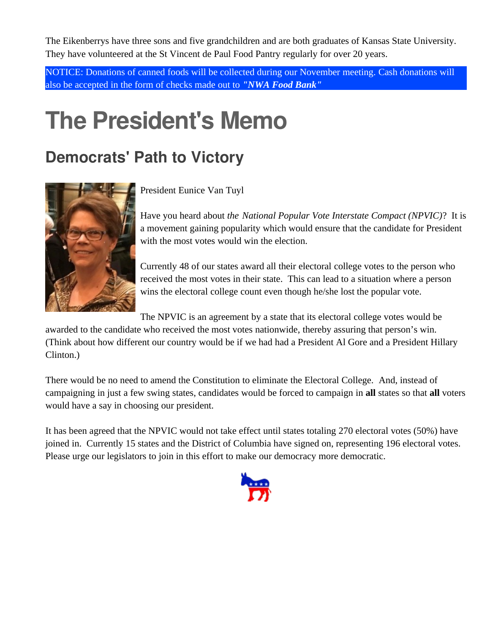The Eikenberrys have three sons and five grandchildren and are both graduates of Kansas State University. They have volunteered at the St Vincent de Paul Food Pantry regularly for over 20 years.

NOTICE: Donations of canned foods will be collected during our November meeting. Cash donations will also be accepted in the form of checks made out to *"NWA Food Bank"*

## **The President's Memo**

#### **Democrats' Path to Victory**



President Eunice Van Tuyl

Have you heard about *the National Popular Vote Interstate Compact (NPVIC)*? It is a movement gaining popularity which would ensure that the candidate for President with the most votes would win the election.

Currently 48 of our states award all their electoral college votes to the person who received the most votes in their state. This can lead to a situation where a person wins the electoral college count even though he/she lost the popular vote.

The NPVIC is an agreement by a state that its electoral college votes would be

awarded to the candidate who received the most votes nationwide, thereby assuring that person's win. (Think about how different our country would be if we had had a President Al Gore and a President Hillary Clinton.)

There would be no need to amend the Constitution to eliminate the Electoral College. And, instead of campaigning in just a few swing states, candidates would be forced to campaign in **all** states so that **all** voters would have a say in choosing our president.

It has been agreed that the NPVIC would not take effect until states totaling 270 electoral votes (50%) have joined in. Currently 15 states and the District of Columbia have signed on, representing 196 electoral votes. Please urge our legislators to join in this effort to make our democracy more democratic.

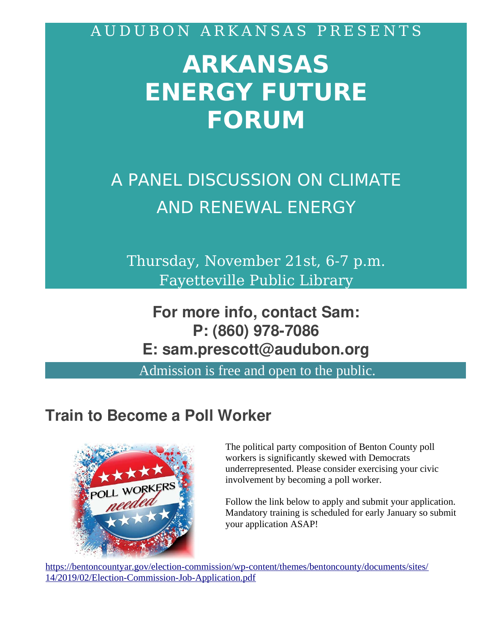A U D U B O N A R K A N S A S P R E S E N T S

## **ARKANSAS ENERGY FUTURE FORUM**

A PANEL DISCUSSION ON CLIMATE AND RENEWAL ENERGY

Thursday, November 21st, 6-7 p.m. Fayetteville Public Library

**For more info, contact Sam: P: (860) 978-7086 E: sam.prescott@audubon.org**

Admission is free and open to the public.

#### **Train to Become a Poll Worker**



The political party composition of Benton County poll workers is significantly skewed with Democrats underrepresented. Please consider exercising your civic involvement by becoming a poll worker.

Follow the link below to apply and submit your application. Mandatory training is scheduled for early January so submit your application ASAP!

[https://bentoncountyar.gov/election-commission/wp-content/themes/bentoncounty/documents/sites/](https://bentoncountyar.gov/election-commission/wp-content/themes/bentoncounty/documents/sites/14/2019/02/Election-Commission-Job-Application.pdf) [14/2019/02/Election-Commission-Job-Application.pdf](https://bentoncountyar.gov/election-commission/wp-content/themes/bentoncounty/documents/sites/14/2019/02/Election-Commission-Job-Application.pdf)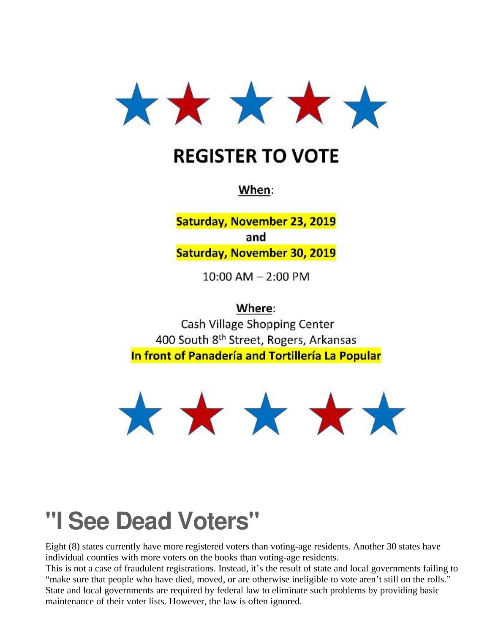

#### **REGISTER TO VOTE**

When:

Saturday, November 23, 2019 and Saturday, November 30, 2019

 $10:00$  AM  $- 2:00$  PM

Where:

Cash Village Shopping Center 400 South 8<sup>th</sup> Street, Rogers, Arkansas In front of Panadería and Tortillería La Popular



### **"I See Dead Voters"**

Eight (8) states currently have more registered voters than voting-age residents. Another 30 states have individual counties with more voters on the books than voting-age residents.

This is not a case of fraudulent registrations. Instead, it's the result of state and local governments failing to "make sure that people who have died, moved, or are otherwise ineligible to vote aren't still on the rolls." State and local governments are required by federal law to eliminate such problems by providing basic maintenance of their voter lists. However, the law is often ignored.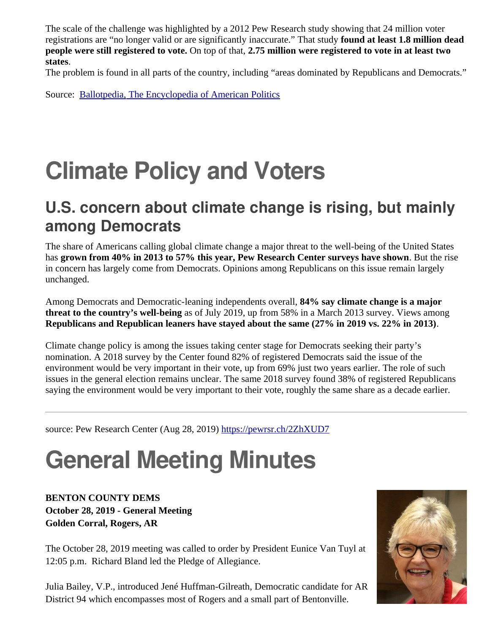The scale of the challenge was highlighted by a 2012 Pew Research study showing that 24 million voter registrations are "no longer valid or are significantly inaccurate." That study **found at least 1.8 million dead people were still registered to vote.** On top of that, **2.75 million were registered to vote in at least two states**.

The problem is found in all parts of the country, including "areas dominated by Republicans and Democrats."

Source: [Ballotpedia, The Encyclopedia of American Politics](https://ballotpedia.org/Main_Page)

## **Climate Policy and Voters**

#### **U.S. concern about climate change is rising, but mainly among Democrats**

The share of Americans calling global climate change a major threat to the well-being of the United States has **grown from 40% in 2013 to 57% this year, Pew Research Center surveys have shown**. But the rise in concern has largely come from Democrats. Opinions among Republicans on this issue remain largely unchanged.

Among Democrats and Democratic-leaning independents overall, **84% say climate change is a major threat to the country's well-being** as of July 2019, up from 58% in a March 2013 survey. Views among **Republicans and Republican leaners have stayed about the same (27% in 2019 vs. 22% in 2013)**.

Climate change policy is among the issues taking center stage for Democrats seeking their party's nomination. A 2018 survey by the Center found 82% of registered Democrats said the issue of the environment would be very important in their vote, up from 69% just two years earlier. The role of such issues in the general election remains unclear. The same 2018 survey found 38% of registered Republicans saying the environment would be very important to their vote, roughly the same share as a decade earlier.

source: Pew Research Center (Aug 28, 2019) <https://pewrsr.ch/2ZhXUD7>

# **General Meeting Minutes**

**BENTON COUNTY DEMS October 28, 2019 - General Meeting Golden Corral, Rogers, AR**

The October 28, 2019 meeting was called to order by President Eunice Van Tuyl at 12:05 p.m. Richard Bland led the Pledge of Allegiance.

Julia Bailey, V.P., introduced Jené Huffman-Gilreath, Democratic candidate for AR District 94 which encompasses most of Rogers and a small part of Bentonville.

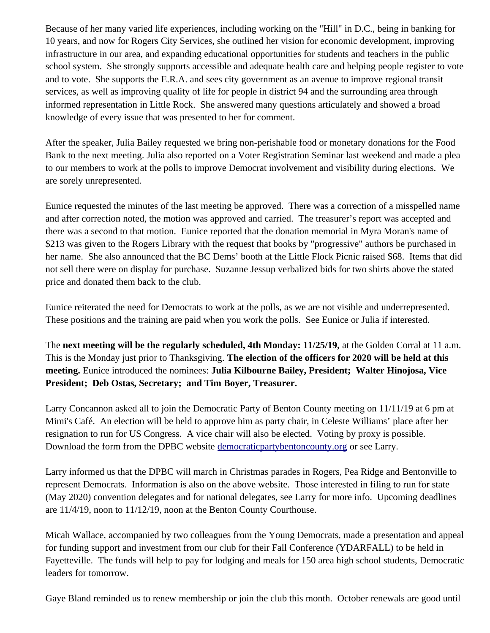Because of her many varied life experiences, including working on the "Hill" in D.C., being in banking for 10 years, and now for Rogers City Services, she outlined her vision for economic development, improving infrastructure in our area, and expanding educational opportunities for students and teachers in the public school system. She strongly supports accessible and adequate health care and helping people register to vote and to vote. She supports the E.R.A. and sees city government as an avenue to improve regional transit services, as well as improving quality of life for people in district 94 and the surrounding area through informed representation in Little Rock. She answered many questions articulately and showed a broad knowledge of every issue that was presented to her for comment.

After the speaker, Julia Bailey requested we bring non-perishable food or monetary donations for the Food Bank to the next meeting. Julia also reported on a Voter Registration Seminar last weekend and made a plea to our members to work at the polls to improve Democrat involvement and visibility during elections. We are sorely unrepresented.

Eunice requested the minutes of the last meeting be approved. There was a correction of a misspelled name and after correction noted, the motion was approved and carried. The treasurer's report was accepted and there was a second to that motion. Eunice reported that the donation memorial in Myra Moran's name of \$213 was given to the Rogers Library with the request that books by "progressive" authors be purchased in her name. She also announced that the BC Dems' booth at the Little Flock Picnic raised \$68. Items that did not sell there were on display for purchase. Suzanne Jessup verbalized bids for two shirts above the stated price and donated them back to the club.

Eunice reiterated the need for Democrats to work at the polls, as we are not visible and underrepresented. These positions and the training are paid when you work the polls. See Eunice or Julia if interested.

The **next meeting will be the regularly scheduled, 4th Monday: 11/25/19,** at the Golden Corral at 11 a.m. This is the Monday just prior to Thanksgiving. **The election of the officers for 2020 will be held at this meeting.** Eunice introduced the nominees: **Julia Kilbourne Bailey, President; Walter Hinojosa, Vice President; Deb Ostas, Secretary; and Tim Boyer, Treasurer.**

Larry Concannon asked all to join the Democratic Party of Benton County meeting on 11/11/19 at 6 pm at Mimi's Café. An election will be held to approve him as party chair, in Celeste Williams' place after her resignation to run for US Congress. A vice chair will also be elected. Voting by proxy is possible. Download the form from the DPBC website [democraticpartybentoncounty.org](http://democraticpartybentoncounty.org/) or see Larry.

Larry informed us that the DPBC will march in Christmas parades in Rogers, Pea Ridge and Bentonville to represent Democrats. Information is also on the above website. Those interested in filing to run for state (May 2020) convention delegates and for national delegates, see Larry for more info. Upcoming deadlines are 11/4/19, noon to 11/12/19, noon at the Benton County Courthouse.

Micah Wallace, accompanied by two colleagues from the Young Democrats, made a presentation and appeal for funding support and investment from our club for their Fall Conference (YDARFALL) to be held in Fayetteville. The funds will help to pay for lodging and meals for 150 area high school students, Democratic leaders for tomorrow.

Gaye Bland reminded us to renew membership or join the club this month. October renewals are good until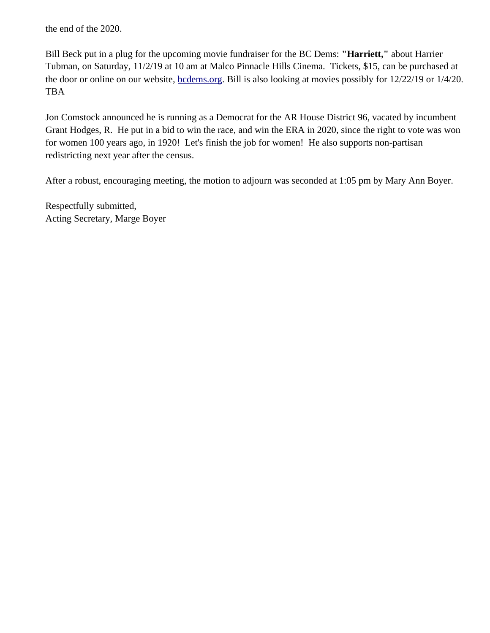the end of the 2020.

Bill Beck put in a plug for the upcoming movie fundraiser for the BC Dems: **"Harriett,"** about Harrier Tubman, on Saturday, 11/2/19 at 10 am at Malco Pinnacle Hills Cinema. Tickets, \$15, can be purchased at the door or online on our website, [bcdems.org.](http://bcdems.org/) Bill is also looking at movies possibly for 12/22/19 or 1/4/20. TBA

Jon Comstock announced he is running as a Democrat for the AR House District 96, vacated by incumbent Grant Hodges, R. He put in a bid to win the race, and win the ERA in 2020, since the right to vote was won for women 100 years ago, in 1920! Let's finish the job for women! He also supports non-partisan redistricting next year after the census.

After a robust, encouraging meeting, the motion to adjourn was seconded at 1:05 pm by Mary Ann Boyer.

Respectfully submitted, Acting Secretary, Marge Boyer